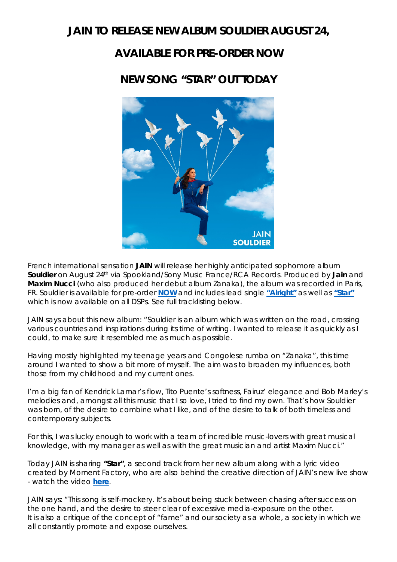### **JAIN TO RELEASE NEW ALBUM** *SOULDIER* **AUGUST 24,**

# **AVAILABLE FOR PRE-ORDER NOW**

## **NEW SONG "STAR" OUT TODAY**



French international sensation **JAIN** will release her highly anticipated sophomore album *Souldier* on August 24th via Spookland/Sony Music France/RCA Records. Produced by **Jain** and **Maxim Nucci** (who also produced her debut album *Zanaka*), the album was recorded in Paris, FR. *Souldier* is available for pre-order **[NOW](https://jain.lnk.to/SouldierPR)** and includes lead single **["Alright"](http://jain.lnk.to/Alright)** as well as **["Star"](https://jain.lnk.to/StarPR)** which is now available on all DSPs. See full tracklisting below.

JAIN says about this new album: *"Souldier is an album which was written on the road, crossing various countries and inspirations during its time of writing. I wanted to release it as quickly as I could, to make sure it resembled me as much as possible.*

*Having mostly highlighted my teenage years and Congolese rumba on "Zanaka", this time around I wanted to show a bit more of myself. The aim was to broaden my influences, both those from my childhood and my current ones.*

*I'm a big fan of Kendrick Lamar's flow, Tito Puente's softness, Fairuz' elegance and Bob Marley's melodies and, amongst all this music that I so love, I tried to find my own. That's how Souldier was born, of the desire to combine what I like, and of the desire to talk of both timeless and contemporary subjects.*

*For this, I was lucky enough to work with a team of incredible music-lovers with great musical knowledge, with my manager as well as with the great musician and artist Maxim Nucci."* 

Today JAIN is sharing **"Star"**, a second track from her new album along with a lyric video created by Moment Factory, who are also behind the creative direction of JAIN's new live show - watch the video **[here](https://www.youtube.com/watch?v=9ED6U14NkPU)**.

JAIN says: *"This song is self-mockery. It's about being stuck between chasing after success on the one hand, and the desire to steer clear of excessive media-exposure on the other.* It is also a critique of the concept of "fame" and our society as a whole, a society in which we *all constantly promote and expose ourselves.*